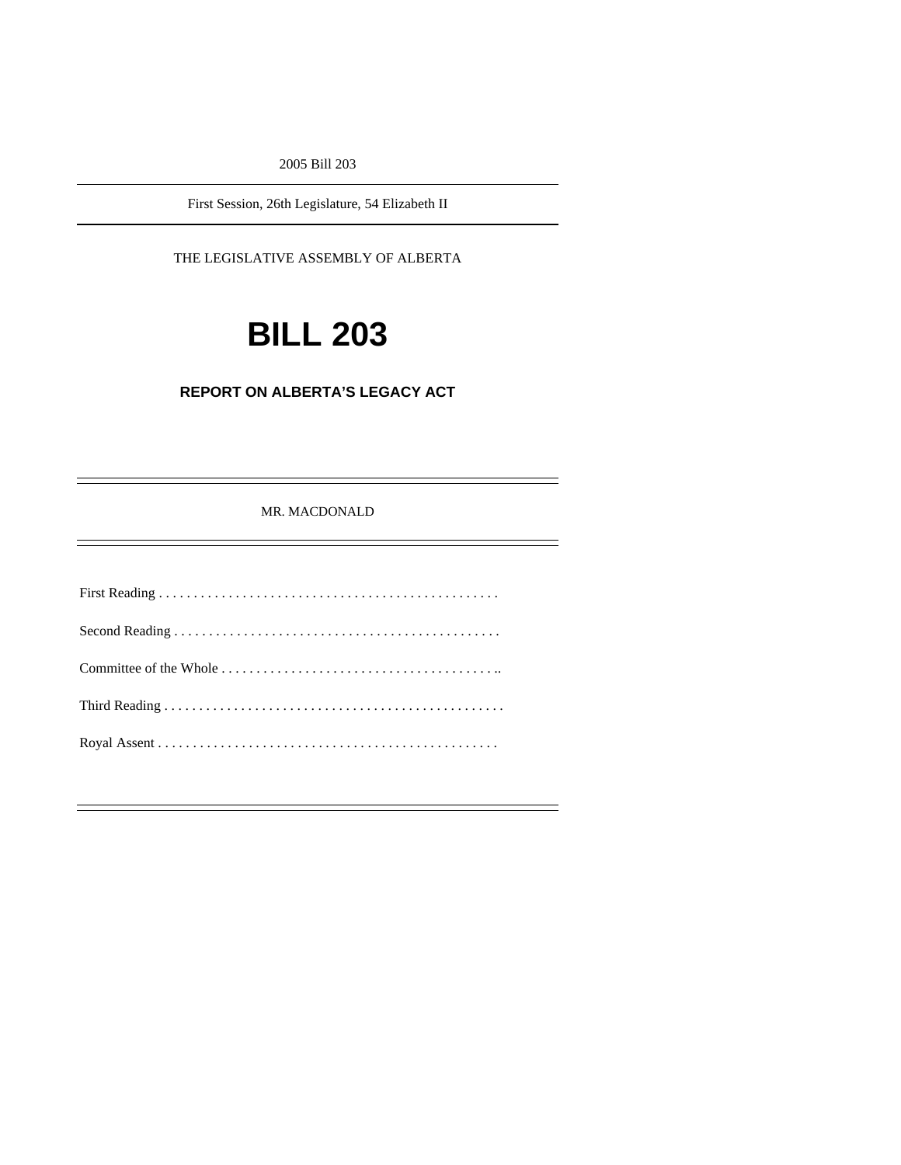2005 Bill 203

First Session, 26th Legislature, 54 Elizabeth II

THE LEGISLATIVE ASSEMBLY OF ALBERTA

# **BILL 203**

## **REPORT ON ALBERTA'S LEGACY ACT**

#### MR. MACDONALD

First Reading . . . . . . . . . . . . . . . . . . . . . . . . . . . . . . . . . . . . . . . . . . . . . . . . . Second Reading . . . . . . . . . . . . . . . . . . . . . . . . . . . . . . . . . . . . . . . . . . . . . . . Committee of the Whole . . . . . . . . . . . . . . . . . . . . . . . . . . . . . . . . . . . . . . . .. Third Reading . . . . . . . . . . . . . . . . . . . . . . . . . . . . . . . . . . . . . . . . . . . . . . . . . Royal Assent . . . . . . . . . . . . . . . . . . . . . . . . . . . . . . . . . . . . . . . . . . . . . . . . .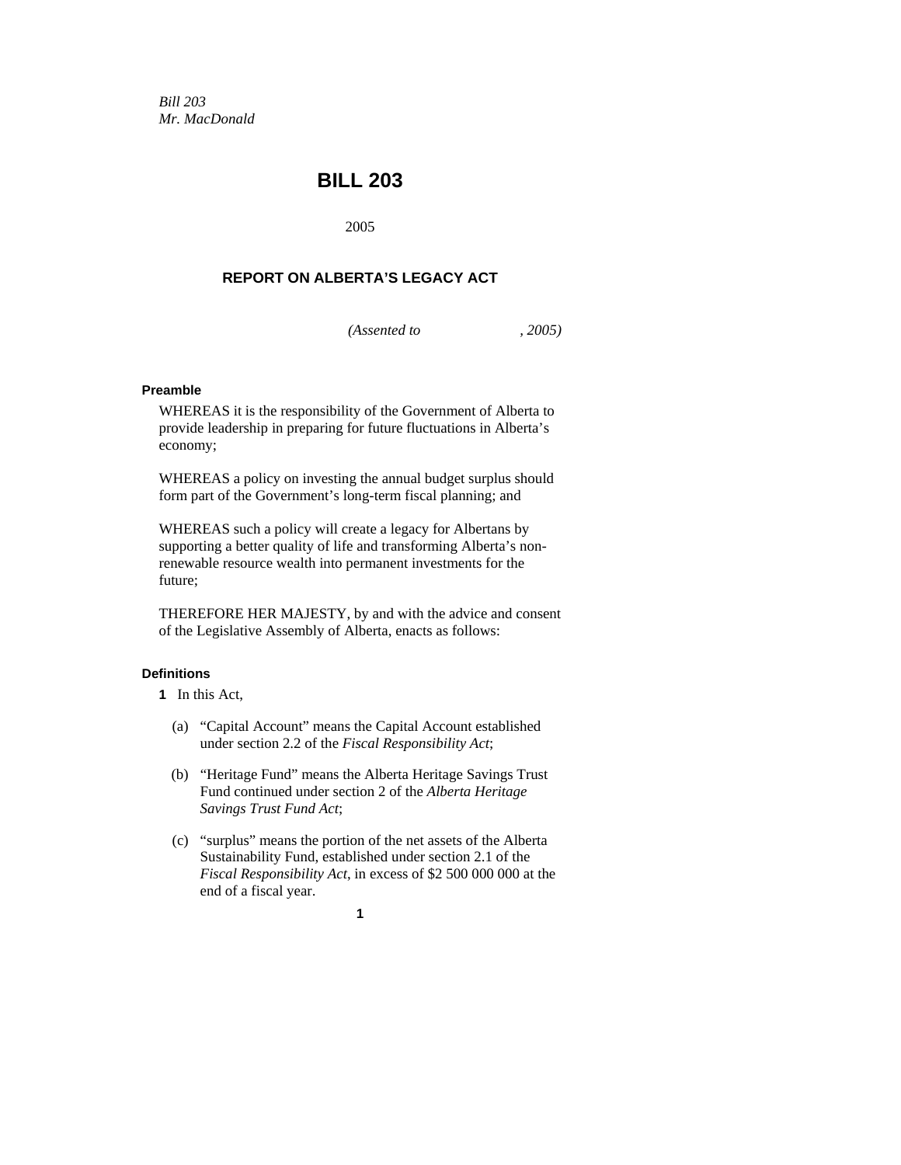*Bill 203 Mr. MacDonald* 

# **BILL 203**

2005

# **REPORT ON ALBERTA'S LEGACY ACT**

*(Assented to , 2005)* 

#### **Preamble**

WHEREAS it is the responsibility of the Government of Alberta to provide leadership in preparing for future fluctuations in Alberta's economy;

WHEREAS a policy on investing the annual budget surplus should form part of the Government's long-term fiscal planning; and

WHEREAS such a policy will create a legacy for Albertans by supporting a better quality of life and transforming Alberta's nonrenewable resource wealth into permanent investments for the future;

THEREFORE HER MAJESTY, by and with the advice and consent of the Legislative Assembly of Alberta, enacts as follows:

#### **Definitions**

- **1** In this Act,
	- (a) "Capital Account" means the Capital Account established under section 2.2 of the *Fiscal Responsibility Act*;
	- (b) "Heritage Fund" means the Alberta Heritage Savings Trust Fund continued under section 2 of the *Alberta Heritage Savings Trust Fund Act*;
	- (c) "surplus" means the portion of the net assets of the Alberta Sustainability Fund, established under section 2.1 of the *Fiscal Responsibility Act*, in excess of \$2 500 000 000 at the end of a fiscal year.

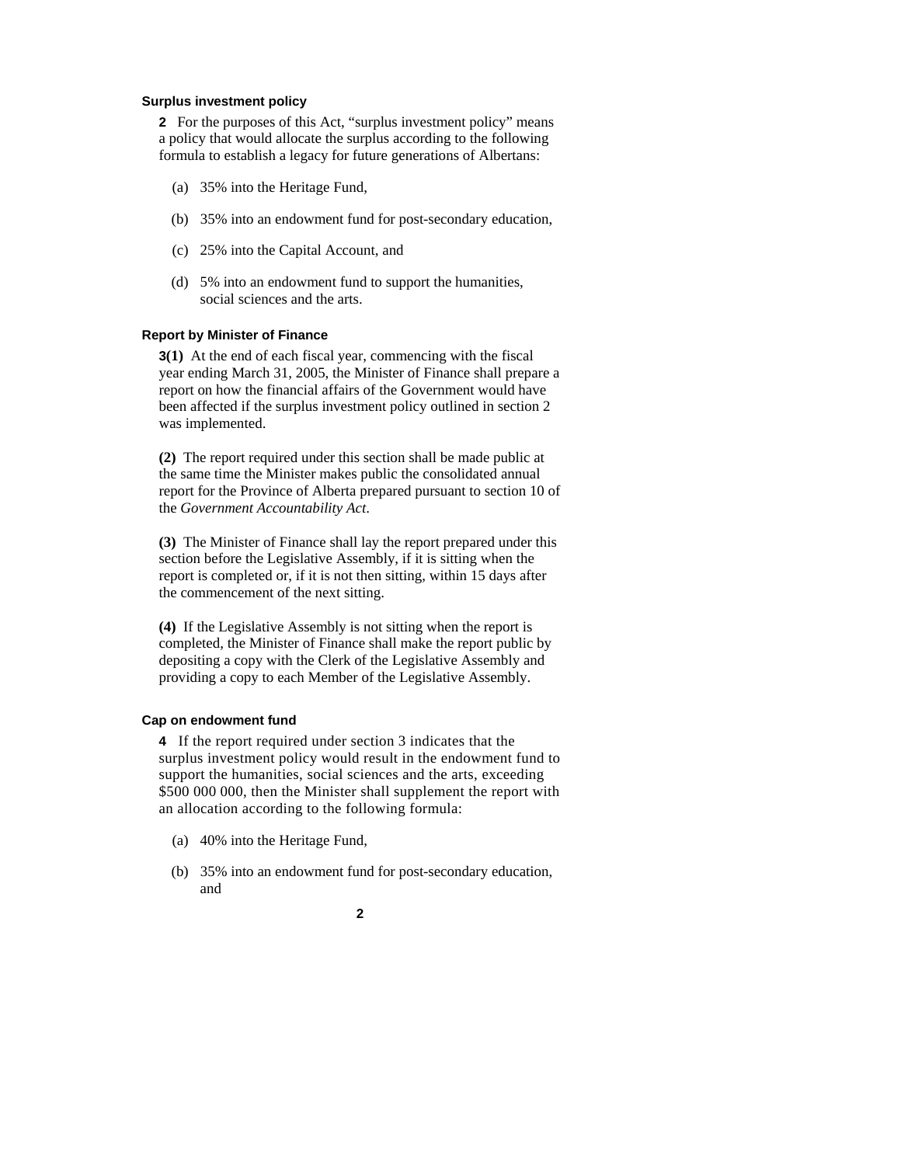#### **Surplus investment policy**

**2** For the purposes of this Act, "surplus investment policy" means a policy that would allocate the surplus according to the following formula to establish a legacy for future generations of Albertans:

- (a) 35% into the Heritage Fund,
- (b) 35% into an endowment fund for post-secondary education,
- (c) 25% into the Capital Account, and
- (d) 5% into an endowment fund to support the humanities, social sciences and the arts.

#### **Report by Minister of Finance**

**3(1)** At the end of each fiscal year, commencing with the fiscal year ending March 31, 2005, the Minister of Finance shall prepare a report on how the financial affairs of the Government would have been affected if the surplus investment policy outlined in section 2 was implemented.

**(2)** The report required under this section shall be made public at the same time the Minister makes public the consolidated annual report for the Province of Alberta prepared pursuant to section 10 of the *Government Accountability Act*.

**(3)** The Minister of Finance shall lay the report prepared under this section before the Legislative Assembly, if it is sitting when the report is completed or, if it is not then sitting, within 15 days after the commencement of the next sitting.

**(4)** If the Legislative Assembly is not sitting when the report is completed, the Minister of Finance shall make the report public by depositing a copy with the Clerk of the Legislative Assembly and providing a copy to each Member of the Legislative Assembly.

#### **Cap on endowment fund**

**4** If the report required under section 3 indicates that the surplus investment policy would result in the endowment fund to support the humanities, social sciences and the arts, exceeding \$500 000 000, then the Minister shall supplement the report with an allocation according to the following formula:

- (a) 40% into the Heritage Fund,
- (b) 35% into an endowment fund for post-secondary education, and
	- **2**